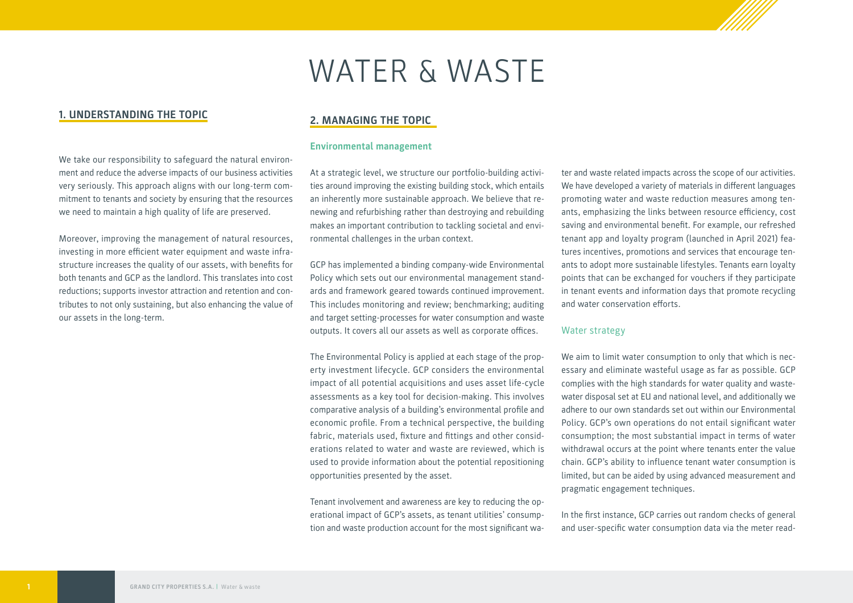# WATER & WASTE

# **1. UNDERSTANDING THE TOPIC**

We take our responsibility to safeguard the natural environment and reduce the adverse impacts of our business activities very seriously. This approach aligns with our long-term commitment to tenants and society by ensuring that the resources we need to maintain a high quality of life are preserved.

Moreover, improving the management of natural resources, investing in more efficient water equipment and waste infrastructure increases the quality of our assets, with benefits for both tenants and GCP as the landlord. This translates into cost reductions; supports investor attraction and retention and contributes to not only sustaining, but also enhancing the value of our assets in the long-term.

# **2. MANAGING THE TOPIC**

# **Environmental management**

At a strategic level, we structure our portfolio-building activities around improving the existing building stock, which entails an inherently more sustainable approach. We believe that renewing and refurbishing rather than destroying and rebuilding makes an important contribution to tackling societal and environmental challenges in the urban context.

GCP has implemented a binding company-wide Environmental Policy which sets out our environmental management standards and framework geared towards continued improvement. This includes monitoring and review; benchmarking; auditing and target setting-processes for water consumption and waste outputs. It covers all our assets as well as corporate offices.

The Environmental Policy is applied at each stage of the property investment lifecycle. GCP considers the environmental impact of all potential acquisitions and uses asset life-cycle assessments as a key tool for decision-making. This involves comparative analysis of a building's environmental profile and economic profile. From a technical perspective, the building fabric, materials used, fixture and fittings and other considerations related to water and waste are reviewed, which is used to provide information about the potential repositioning opportunities presented by the asset.

Tenant involvement and awareness are key to reducing the operational impact of GCP's assets, as tenant utilities' consumption and waste production account for the most significant water and waste related impacts across the scope of our activities. We have developed a variety of materials in different languages promoting water and waste reduction measures among tenants, emphasizing the links between resource efficiency, cost saving and environmental benefit. For example, our refreshed tenant app and loyalty program (launched in April 2021) features incentives, promotions and services that encourage tenants to adopt more sustainable lifestyles. Tenants earn loyalty points that can be exchanged for vouchers if they participate in tenant events and information days that promote recycling and water conservation efforts.

#### Water strategy

We aim to limit water consumption to only that which is necessary and eliminate wasteful usage as far as possible. GCP complies with the high standards for water quality and wastewater disposal set at EU and national level, and additionally we adhere to our own standards set out within our Environmental Policy. GCP's own operations do not entail significant water consumption; the most substantial impact in terms of water withdrawal occurs at the point where tenants enter the value chain. GCP's ability to influence tenant water consumption is limited, but can be aided by using advanced measurement and pragmatic engagement techniques.

In the first instance, GCP carries out random checks of general and user-specific water consumption data via the meter read-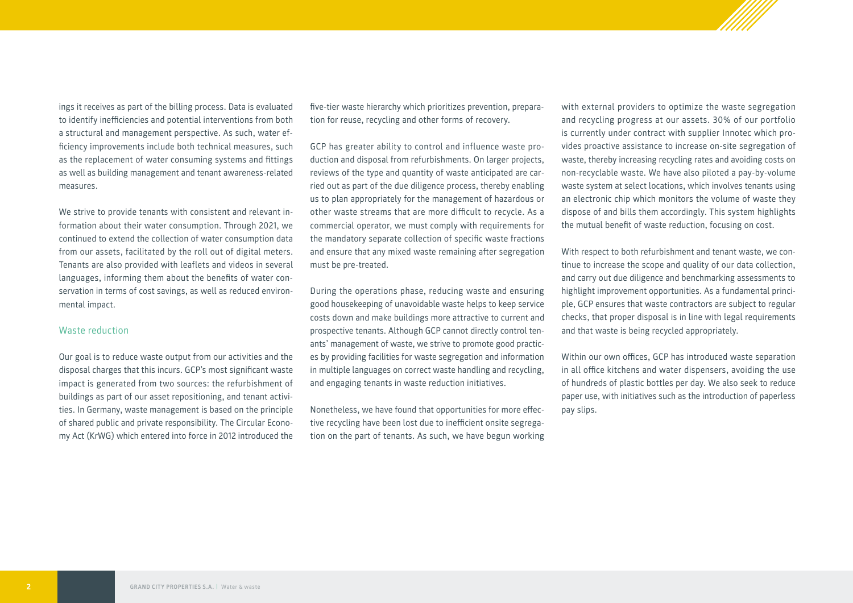ings it receives as part of the billing process. Data is evaluated to identify inefficiencies and potential interventions from both a structural and management perspective. As such, water efficiency improvements include both technical measures, such as the replacement of water consuming systems and fittings as well as building management and tenant awareness-related measures.

We strive to provide tenants with consistent and relevant information about their water consumption. Through 2021, we continued to extend the collection of water consumption data from our assets, facilitated by the roll out of digital meters. Tenants are also provided with leaflets and videos in several languages, informing them about the benefits of water conservation in terms of cost savings, as well as reduced environmental impact.

#### Waste reduction

Our goal is to reduce waste output from our activities and the disposal charges that this incurs. GCP's most significant waste impact is generated from two sources: the refurbishment of buildings as part of our asset repositioning, and tenant activities. In Germany, waste management is based on the principle of shared public and private responsibility. The Circular Economy Act (KrWG) which entered into force in 2012 introduced the

five-tier waste hierarchy which prioritizes prevention, preparation for reuse, recycling and other forms of recovery.

GCP has greater ability to control and influence waste production and disposal from refurbishments. On larger projects, reviews of the type and quantity of waste anticipated are carried out as part of the due diligence process, thereby enabling us to plan appropriately for the management of hazardous or other waste streams that are more difficult to recycle. As a commercial operator, we must comply with requirements for the mandatory separate collection of specific waste fractions and ensure that any mixed waste remaining after segregation must be pre-treated.

During the operations phase, reducing waste and ensuring good housekeeping of unavoidable waste helps to keep service costs down and make buildings more attractive to current and prospective tenants. Although GCP cannot directly control tenants' management of waste, we strive to promote good practices by providing facilities for waste segregation and information in multiple languages on correct waste handling and recycling, and engaging tenants in waste reduction initiatives.

Nonetheless, we have found that opportunities for more effective recycling have been lost due to inefficient onsite segregation on the part of tenants. As such, we have begun working

with external providers to optimize the waste segregation and recycling progress at our assets. 30% of our portfolio is currently under contract with supplier Innotec which provides proactive assistance to increase on-site segregation of waste, thereby increasing recycling rates and avoiding costs on non-recyclable waste. We have also piloted a pay-by-volume waste system at select locations, which involves tenants using an electronic chip which monitors the volume of waste they dispose of and bills them accordingly. This system highlights the mutual benefit of waste reduction, focusing on cost.

With respect to both refurbishment and tenant waste, we continue to increase the scope and quality of our data collection, and carry out due diligence and benchmarking assessments to highlight improvement opportunities. As a fundamental principle, GCP ensures that waste contractors are subject to regular checks, that proper disposal is in line with legal requirements and that waste is being recycled appropriately.

Within our own offices, GCP has introduced waste separation in all office kitchens and water dispensers, avoiding the use of hundreds of plastic bottles per day. We also seek to reduce paper use, with initiatives such as the introduction of paperless pay slips.